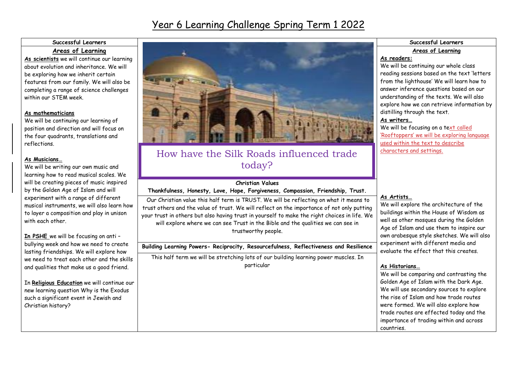## Year 6 Learning Challenge Spring Term 1 2022

### **Successful Learners**

### **Areas of Learning**

**As scientists** we will continue our learning about evolution and inheritance. We will be exploring how we inherit certain features from our family. We will also be completing a range of science challenges within our STEM week.

#### **As mathematicians**

We will be continuing our learning of position and direction and will focus on the four quadrants, translations and reflections.

#### **As Musicians…**

We will be writing our own music and learning how to read musical scales. We will be creating pieces of music inspired by the Golden Age of Islam and will experiment with a range of different musical instruments, we will also learn how to layer a composition and play in unison with each other.

**In PSHE** we will be focusing on anti – bullying week and how we need to create lasting friendships. We will explore how we need to treat each other and the skills and qualities that make us a good friend.

In **Religious Education** we will continue our new learning question Why is the Exodus such a significant event in Jewish and Christian history?



### How have the Silk Roads influenced trade today?

## **Christian Values**

**Thankfulness, Honesty, Love, Hope, Forgiveness, Compassion, Friendship, Trust.**

Our Christian value this half term is TRUST. We will be reflecting on what it means to trust others and the value of trust. We will reflect on the importance of not only putting your trust in others but also having trust in yourself to make the right choices in life. We will explore where we can see Trust in the Bible and the qualities we can see in trustworthy people.

#### **Building Learning Powers- Reciprocity, Resourcefulness, Reflectiveness and Resilience**

This half term we will be stretching lots of our building learning power muscles. In particular

#### **Successful Learners Areas of Learning**

#### **As readers:**

We will be continuing our whole class reading sessions based on the text 'letters from the lighthouse' We will learn how to answer inference questions based on our understanding of the texts. We will also explore how we can retrieve information by distilling through the text.

#### **As writers…**

We will be focusing on a text called 'Rooftoppers' we will be exploring language used within the text to describe characters and settings.

#### **As Artists…**

We will explore the architecture of the buildings within the House of Wisdom as well as other mosques during the Golden Age of Islam and use them to inspire our own arabesque style sketches. We will also experiment with different media and evaluate the effect that this creates.

#### **As Historians…**

We will be comparing and contrasting the Golden Age of Islam with the Dark Age. We will use secondary sources to explore the rise of Islam and how trade routes were formed. We will also explore how trade routes are effected today and the importance of trading within and across countries.